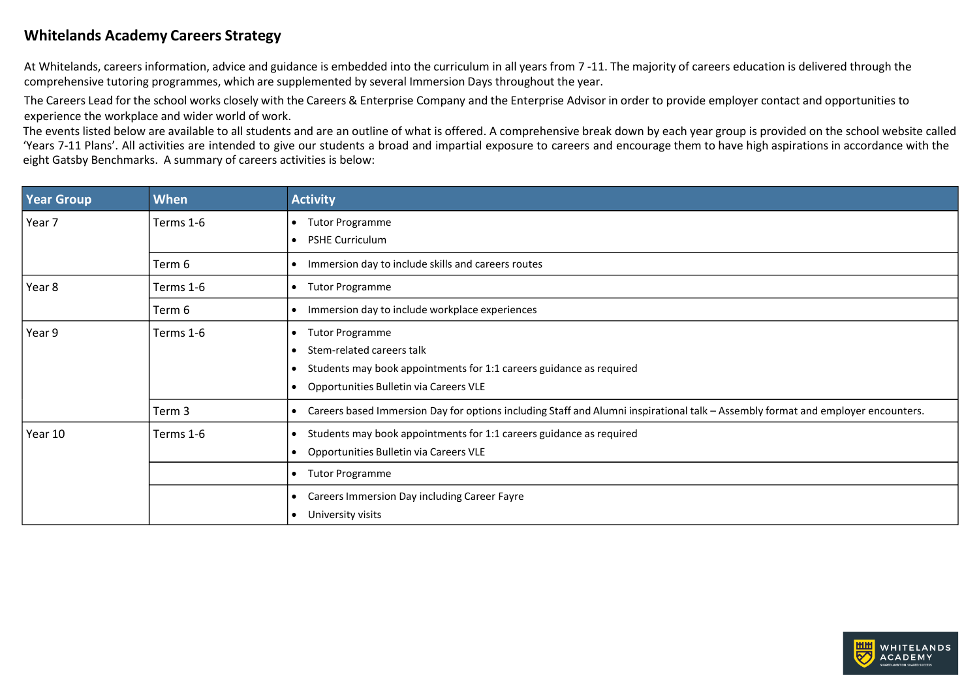## **Whitelands Academy Careers Strategy**

At Whitelands, careers information, advice and guidance is embedded into the curriculum in all years from 7 -11. The majority of careers education is delivered through the comprehensive tutoring programmes, which are supplemented by several Immersion Days throughout the year.

The Careers Lead for the school works closely with the Careers & Enterprise Company and the Enterprise Advisor in order to provide employer contact and opportunities to experience the workplace and wider world of work.

The events listed below are available to all students and are an outline of what is offered. A comprehensive break down by each year group is provided on the school website called 'Years 7-11 Plans'. All activities are intended to give our students a broad and impartial exposure to careers and encourage them to have high aspirations in accordance with the eight Gatsby Benchmarks. A summary of careers activities is below:

| <b>Year Group</b> | When      | <b>Activity</b>                                                                                                                                                                        |
|-------------------|-----------|----------------------------------------------------------------------------------------------------------------------------------------------------------------------------------------|
| Year 7            | Terms 1-6 | <b>Tutor Programme</b><br><b>PSHE Curriculum</b><br>$\bullet$                                                                                                                          |
|                   | Term 6    | Immersion day to include skills and careers routes<br>٠                                                                                                                                |
| Year 8            | Terms 1-6 | <b>Tutor Programme</b>                                                                                                                                                                 |
|                   | Term 6    | Immersion day to include workplace experiences                                                                                                                                         |
| Year 9            | Terms 1-6 | <b>Tutor Programme</b><br>$\bullet$<br>Stem-related careers talk<br>Students may book appointments for 1:1 careers guidance as required<br>٠<br>Opportunities Bulletin via Careers VLE |
|                   | Term 3    | Careers based Immersion Day for options including Staff and Alumni inspirational talk - Assembly format and employer encounters.<br>٠                                                  |
| Year 10           | Terms 1-6 | Students may book appointments for 1:1 careers guidance as required<br>Opportunities Bulletin via Careers VLE<br>$\bullet$                                                             |
|                   |           | <b>Tutor Programme</b><br>٠                                                                                                                                                            |
|                   |           | Careers Immersion Day including Career Fayre<br>٠<br>University visits<br>٠                                                                                                            |